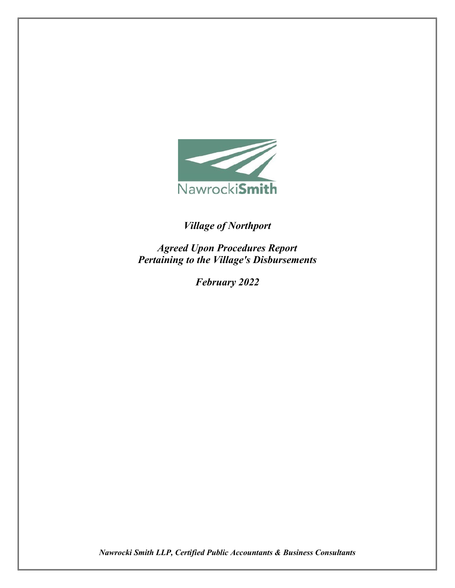

## *Village of Northport*

*Agreed Upon Procedures Report Pertaining to the Village's Disbursements*

*February 2022*

*Nawrocki Smith LLP, Certified Public Accountants & Business Consultants*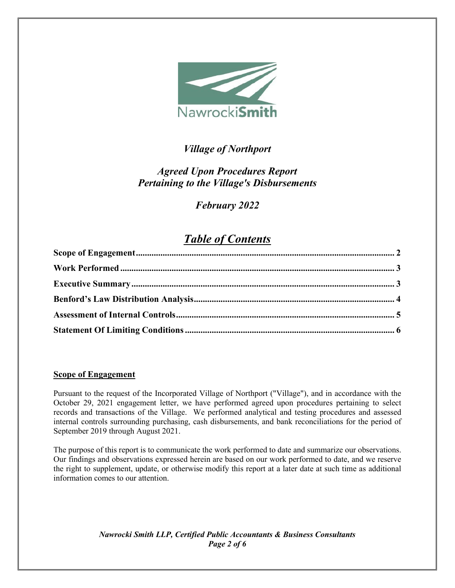

## *Village of Northport*

## *Agreed Upon Procedures Report Pertaining to the Village's Disbursements*

## *February 2022*

# *Table of Contents*

## <span id="page-1-0"></span>**Scope of Engagement**

Pursuant to the request of the Incorporated Village of Northport ("Village"), and in accordance with the October 29, 2021 engagement letter, we have performed agreed upon procedures pertaining to select records and transactions of the Village. We performed analytical and testing procedures and assessed internal controls surrounding purchasing, cash disbursements, and bank reconciliations for the period of September 2019 through August 2021.

The purpose of this report is to communicate the work performed to date and summarize our observations. Our findings and observations expressed herein are based on our work performed to date, and we reserve the right to supplement, update, or otherwise modify this report at a later date at such time as additional information comes to our attention.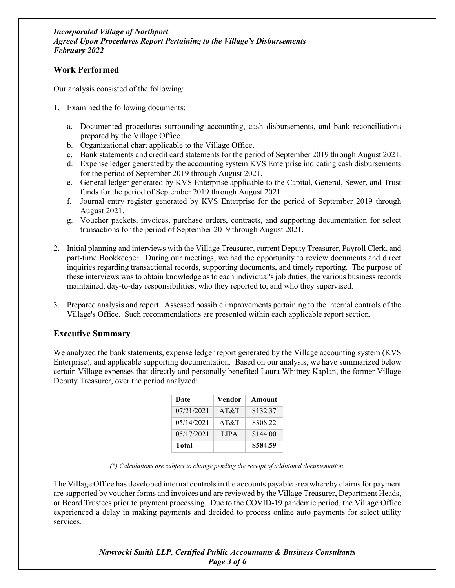## <span id="page-2-0"></span>**Work Performed**

Our analysis consisted of the following:

- 1. Examined the following documents:
	- a. Documented procedures surrounding accounting, cash disbursements, and bank reconciliations prepared by the Village Office.
	- b. Organizational chart applicable to the Village Office.
	- c. Bank statements and credit card statements for the period of September 2019 through August 2021.
	- d. Expense ledger generated by the accounting system KVS Enterprise indicating cash disbursements for the period of September 2019 through August 2021.
	- e. General ledger generated by KVS Enterprise applicable to the Capital, General, Sewer, and Trust funds for the period of September 2019 through August 2021.
	- f. Journal entry register generated by KVS Enterprise for the period of September 2019 through August 2021.
	- g. Voucher packets, invoices, purchase orders, contracts, and supporting documentation for select transactions for the period of September 2019 through August 2021.
- 2. Initial planning and interviews with the Village Treasurer, current Deputy Treasurer, Payroll Clerk, and part-time Bookkeeper. During our meetings, we had the opportunity to review documents and direct inquiries regarding transactional records, supporting documents, and timely reporting. The purpose of these interviews was to obtain knowledge as to each individual's job duties, the various business records maintained, day-to-day responsibilities, who they reported to, and who they supervised.
- 3. Prepared analysis and report. Assessed possible improvements pertaining to the internal controls of the Village's Office. Such recommendations are presented within each applicable report section.

## <span id="page-2-1"></span>**Executive Summary**

We analyzed the bank statements, expense ledger report generated by the Village accounting system (KVS Enterprise), and applicable supporting documentation. Based on our analysis, we have summarized below certain Village expenses that directly and personally benefited Laura Whitney Kaplan, the former Village Deputy Treasurer, over the period analyzed:

| Date       | Vendor | Amount   |
|------------|--------|----------|
| 07/21/2021 | AT&T   | \$132.37 |
| 05/14/2021 | AT&T   | \$308.22 |
| 05/17/2021 | LIPA.  | \$144.00 |
| Total      |        | \$584.59 |

*<sup>(\*)</sup> Calculations are subject to change pending the receipt of additional documentation.* 

The Village Office has developed internal controls in the accounts payable area whereby claims for payment are supported by voucher forms and invoices and are reviewed by the Village Treasurer, Department Heads, or Board Trustees prior to payment processing. Due to the COVID-19 pandemic period, the Village Office experienced a delay in making payments and decided to process online auto payments for select utility services.

> *Nawrocki Smith LLP, Certified Public Accountants & Business Consultants Page 3 of 6*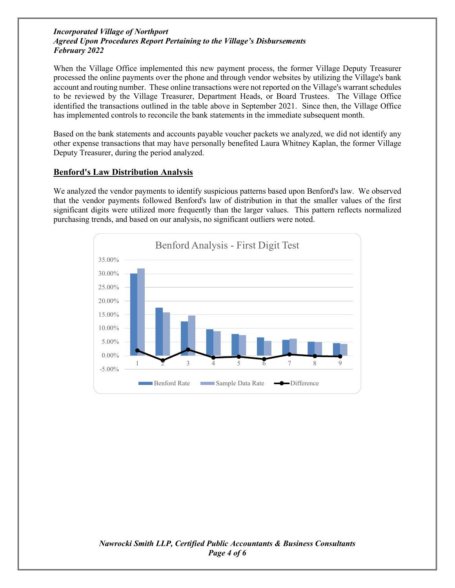#### *Incorporated Village of Northport Agreed Upon Procedures Report Pertaining to the Village's Disbursements February 2022*

When the Village Office implemented this new payment process, the former Village Deputy Treasurer processed the online payments over the phone and through vendor websites by utilizing the Village's bank account and routing number. These online transactions were not reported on the Village's warrant schedules to be reviewed by the Village Treasurer, Department Heads, or Board Trustees. The Village Office identified the transactions outlined in the table above in September 2021. Since then, the Village Office has implemented controls to reconcile the bank statements in the immediate subsequent month.

Based on the bank statements and accounts payable voucher packets we analyzed, we did not identify any other expense transactions that may have personally benefited Laura Whitney Kaplan, the former Village Deputy Treasurer, during the period analyzed.

### <span id="page-3-0"></span>**Benford's Law Distribution Analysis**

We analyzed the vendor payments to identify suspicious patterns based upon Benford's law. We observed that the vendor payments followed Benford's law of distribution in that the smaller values of the first significant digits were utilized more frequently than the larger values. This pattern reflects normalized purchasing trends, and based on our analysis, no significant outliers were noted.

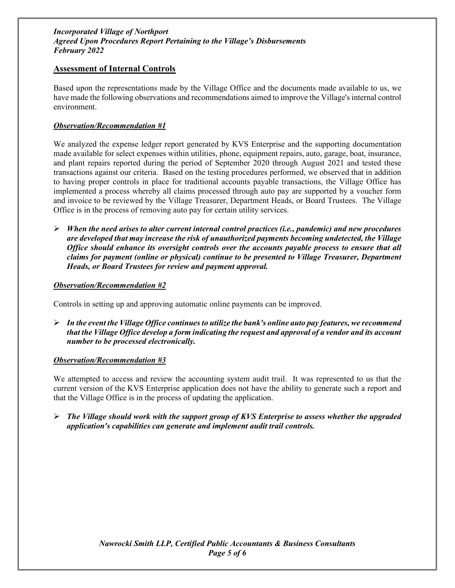#### *Incorporated Village of Northport Agreed Upon Procedures Report Pertaining to the Village's Disbursements February 2022*

### <span id="page-4-0"></span>**Assessment of Internal Controls**

Based upon the representations made by the Village Office and the documents made available to us, we have made the following observations and recommendations aimed to improve the Village's internal control environment.

#### *Observation/Recommendation #1*

We analyzed the expense ledger report generated by KVS Enterprise and the supporting documentation made available for select expenses within utilities, phone, equipment repairs, auto, garage, boat, insurance, and plant repairs reported during the period of September 2020 through August 2021 and tested these transactions against our criteria. Based on the testing procedures performed, we observed that in addition to having proper controls in place for traditional accounts payable transactions, the Village Office has implemented a process whereby all claims processed through auto pay are supported by a voucher form and invoice to be reviewed by the Village Treasurer, Department Heads, or Board Trustees. The Village Office is in the process of removing auto pay for certain utility services.

 *When the need arises to alter current internal control practices (i.e., pandemic) and new procedures are developed that may increase the risk of unauthorized payments becoming undetected, the Village Office should enhance its oversight controls over the accounts payable process to ensure that all claims for payment (online or physical) continue to be presented to Village Treasurer, Department Heads, or Board Trustees for review and payment approval.* 

#### *Observation/Recommendation #2*

Controls in setting up and approving automatic online payments can be improved.

 *In the event the Village Office continues to utilize the bank's online auto pay features, we recommend that the Village Office develop a form indicating the request and approval of a vendor and its account number to be processed electronically.* 

#### *Observation/Recommendation #3*

We attempted to access and review the accounting system audit trail. It was represented to us that the current version of the KVS Enterprise application does not have the ability to generate such a report and that the Village Office is in the process of updating the application.

 *The Village should work with the support group of KVS Enterprise to assess whether the upgraded application's capabilities can generate and implement audit trail controls.*